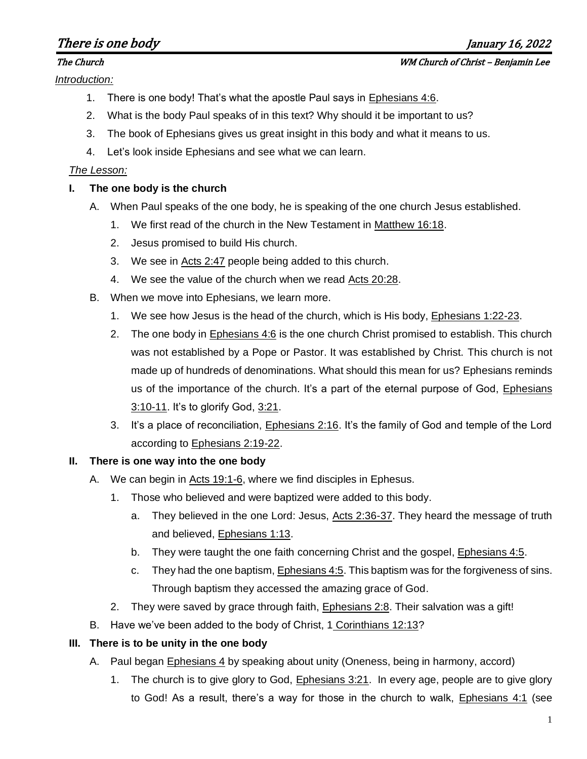# There is one body  $\mu$  and  $\mu$  and  $\mu$  and  $\mu$  and  $\mu$  and  $\mu$  and  $\mu$  and  $\mu$  and  $\mu$  and  $\mu$  and  $\mu$  and  $\mu$  and  $\mu$  and  $\mu$  and  $\mu$  and  $\mu$  and  $\mu$  and  $\mu$  and  $\mu$  and  $\mu$  and  $\mu$  and  $\mu$  and  $\mu$  a

*Introduction:*

- 1. There is one body! That's what the apostle Paul says in Ephesians 4:6.
- 2. What is the body Paul speaks of in this text? Why should it be important to us?
- 3. The book of Ephesians gives us great insight in this body and what it means to us.
- 4. Let's look inside Ephesians and see what we can learn.

# *The Lesson:*

# **I. The one body is the church**

- A. When Paul speaks of the one body, he is speaking of the one church Jesus established.
	- 1. We first read of the church in the New Testament in Matthew 16:18.
	- 2. Jesus promised to build His church.
	- 3. We see in Acts 2:47 people being added to this church.
	- 4. We see the value of the church when we read Acts 20:28.
- B. When we move into Ephesians, we learn more.
	- 1. We see how Jesus is the head of the church, which is His body, Ephesians 1:22-23.
	- 2. The one body in Ephesians 4:6 is the one church Christ promised to establish. This church was not established by a Pope or Pastor. It was established by Christ. This church is not made up of hundreds of denominations. What should this mean for us? Ephesians reminds us of the importance of the church. It's a part of the eternal purpose of God, Ephesians 3:10-11. It's to glorify God, 3:21.
	- 3. It's a place of reconciliation, Ephesians 2:16. It's the family of God and temple of the Lord according to Ephesians 2:19-22.

# **II. There is one way into the one body**

- A. We can begin in Acts 19:1-6, where we find disciples in Ephesus.
	- 1. Those who believed and were baptized were added to this body.
		- a. They believed in the one Lord: Jesus, Acts 2:36-37. They heard the message of truth and believed, Ephesians 1:13.
		- b. They were taught the one faith concerning Christ and the gospel, Ephesians 4:5.
		- c. They had the one baptism, Ephesians 4:5. This baptism was for the forgiveness of sins. Through baptism they accessed the amazing grace of God.
		- 2. They were saved by grace through faith, Ephesians 2:8. Their salvation was a gift!
- B. Have we've been added to the body of Christ, 1 Corinthians 12:13?

# **III. There is to be unity in the one body**

- A. Paul began Ephesians 4 by speaking about unity (Oneness, being in harmony, accord)
	- 1. The church is to give glory to God, Ephesians 3:21. In every age, people are to give glory to God! As a result, there's a way for those in the church to walk, Ephesians 4:1 (see